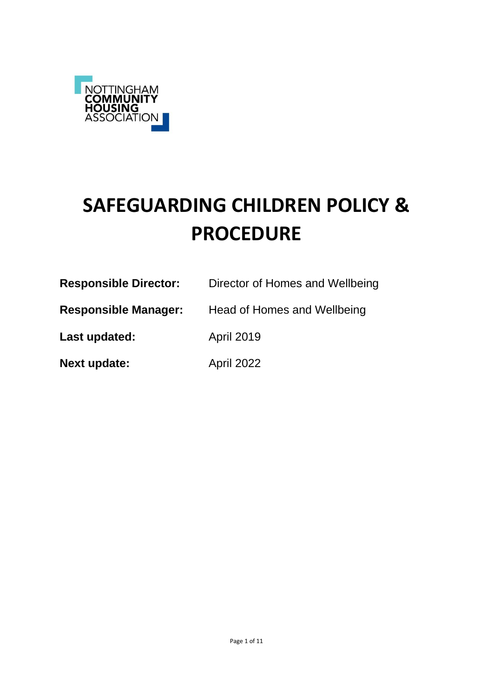

# **SAFEGUARDING CHILDREN POLICY & PROCEDURE**

| <b>Responsible Director:</b> | Director of Homes and Wellbeing |
|------------------------------|---------------------------------|
| <b>Responsible Manager:</b>  | Head of Homes and Wellbeing     |
| Last updated:                | <b>April 2019</b>               |
| <b>Next update:</b>          | April 2022                      |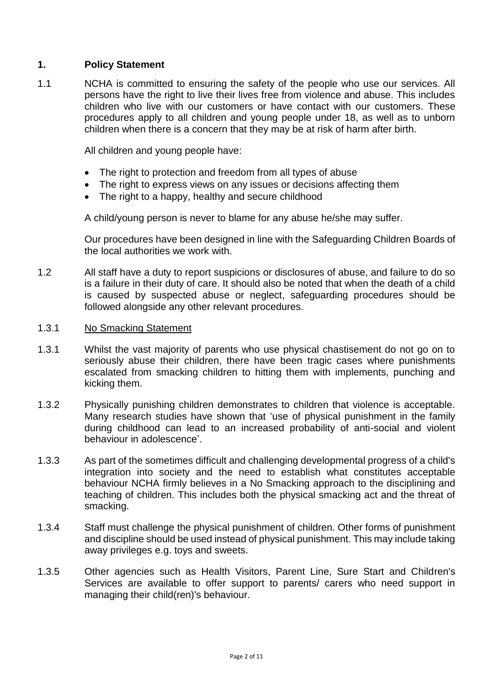# **1. Policy Statement**

1.1 NCHA is committed to ensuring the safety of the people who use our services. All persons have the right to live their lives free from violence and abuse. This includes children who live with our customers or have contact with our customers. These procedures apply to all children and young people under 18, as well as to unborn children when there is a concern that they may be at risk of harm after birth.

All children and young people have:

- The right to protection and freedom from all types of abuse
- The right to express views on any issues or decisions affecting them
- The right to a happy, healthy and secure childhood

A child/young person is never to blame for any abuse he/she may suffer.

Our procedures have been designed in line with the Safeguarding Children Boards of the local authorities we work with.

- 1.2 All staff have a duty to report suspicions or disclosures of abuse, and failure to do so is a failure in their duty of care. It should also be noted that when the death of a child is caused by suspected abuse or neglect, safeguarding procedures should be followed alongside any other relevant procedures.
- 1.3.1 No Smacking Statement
- 1.3.1 Whilst the vast majority of parents who use physical chastisement do not go on to seriously abuse their children, there have been tragic cases where punishments escalated from smacking children to hitting them with implements, punching and kicking them.
- 1.3.2 Physically punishing children demonstrates to children that violence is acceptable. Many research studies have shown that 'use of physical punishment in the family during childhood can lead to an increased probability of anti-social and violent behaviour in adolescence'.
- 1.3.3 As part of the sometimes difficult and challenging developmental progress of a child's integration into society and the need to establish what constitutes acceptable behaviour NCHA firmly believes in a No Smacking approach to the disciplining and teaching of children. This includes both the physical smacking act and the threat of smacking.
- 1.3.4 Staff must challenge the physical punishment of children. Other forms of punishment and discipline should be used instead of physical punishment. This may include taking away privileges e.g. toys and sweets.
- 1.3.5 Other agencies such as Health Visitors, Parent Line, Sure Start and Children's Services are available to offer support to parents/ carers who need support in managing their child(ren)'s behaviour.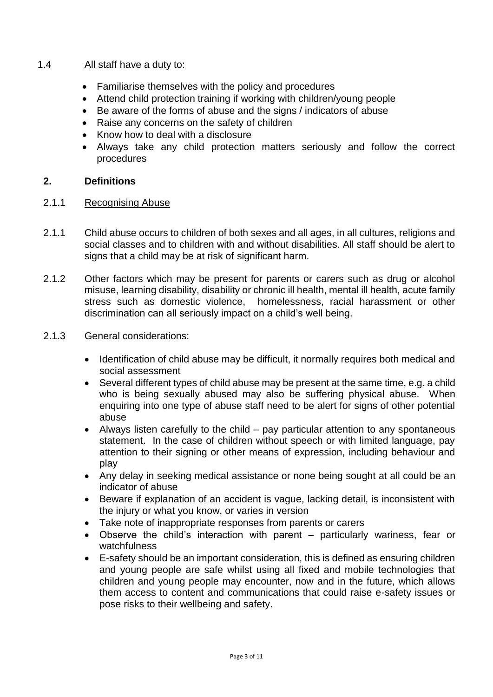- 1.4 All staff have a duty to:
	- Familiarise themselves with the policy and procedures
	- Attend child protection training if working with children/young people
	- Be aware of the forms of abuse and the signs / indicators of abuse
	- Raise any concerns on the safety of children
	- Know how to deal with a disclosure
	- Always take any child protection matters seriously and follow the correct procedures

# **2. Definitions**

- 2.1.1 Recognising Abuse
- 2.1.1 Child abuse occurs to children of both sexes and all ages, in all cultures, religions and social classes and to children with and without disabilities. All staff should be alert to signs that a child may be at risk of significant harm.
- 2.1.2 Other factors which may be present for parents or carers such as drug or alcohol misuse, learning disability, disability or chronic ill health, mental ill health, acute family stress such as domestic violence, homelessness, racial harassment or other discrimination can all seriously impact on a child's well being.
- 2.1.3 General considerations:
	- Identification of child abuse may be difficult, it normally requires both medical and social assessment
	- Several different types of child abuse may be present at the same time, e.g. a child who is being sexually abused may also be suffering physical abuse. When enquiring into one type of abuse staff need to be alert for signs of other potential abuse
	- Always listen carefully to the child pay particular attention to any spontaneous statement. In the case of children without speech or with limited language, pay attention to their signing or other means of expression, including behaviour and play
	- Any delay in seeking medical assistance or none being sought at all could be an indicator of abuse
	- Beware if explanation of an accident is vague, lacking detail, is inconsistent with the injury or what you know, or varies in version
	- Take note of inappropriate responses from parents or carers
	- Observe the child's interaction with parent particularly wariness, fear or watchfulness
	- E-safety should be an important consideration, this is defined as ensuring children and young people are safe whilst using all fixed and mobile technologies that children and young people may encounter, now and in the future, which allows them access to content and communications that could raise e-safety issues or pose risks to their wellbeing and safety.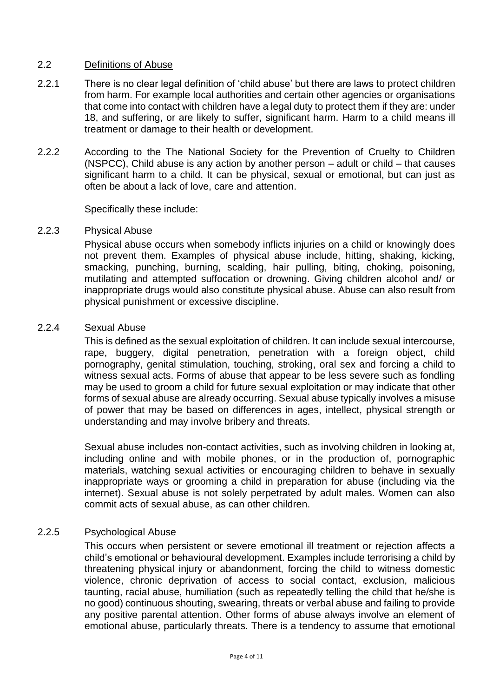## 2.2 Definitions of Abuse

- 2.2.1 There is no clear legal definition of 'child abuse' but there are laws to protect children from harm. For example local authorities and certain other agencies or organisations that come into contact with children have a legal duty to protect them if they are: under 18, and suffering, or are likely to suffer, significant harm. Harm to a child means ill treatment or damage to their health or development.
- 2.2.2 According to the The National Society for the Prevention of Cruelty to Children (NSPCC), Child abuse is any action by another person – adult or child – that causes significant harm to a child. It can be physical, sexual or emotional, but can just as often be about a lack of love, care and attention.

Specifically these include:

#### 2.2.3 Physical Abuse

Physical abuse occurs when somebody inflicts injuries on a child or knowingly does not prevent them. Examples of physical abuse include, hitting, shaking, kicking, smacking, punching, burning, scalding, hair pulling, biting, choking, poisoning, mutilating and attempted suffocation or drowning. Giving children alcohol and/ or inappropriate drugs would also constitute physical abuse. Abuse can also result from physical punishment or excessive discipline.

## 2.2.4 Sexual Abuse

This is defined as the sexual exploitation of children. It can include sexual intercourse, rape, buggery, digital penetration, penetration with a foreign object, child pornography, genital stimulation, touching, stroking, oral sex and forcing a child to witness sexual acts. Forms of abuse that appear to be less severe such as fondling may be used to groom a child for future sexual exploitation or may indicate that other forms of sexual abuse are already occurring. Sexual abuse typically involves a misuse of power that may be based on differences in ages, intellect, physical strength or understanding and may involve bribery and threats.

Sexual abuse includes non-contact activities, such as involving children in looking at, including online and with mobile phones, or in the production of, pornographic materials, watching sexual activities or encouraging children to behave in sexually inappropriate ways or grooming a child in preparation for abuse (including via the internet). Sexual abuse is not solely perpetrated by adult males. Women can also commit acts of sexual abuse, as can other children.

## 2.2.5 Psychological Abuse

This occurs when persistent or severe emotional ill treatment or rejection affects a child's emotional or behavioural development. Examples include terrorising a child by threatening physical injury or abandonment, forcing the child to witness domestic violence, chronic deprivation of access to social contact, exclusion, malicious taunting, racial abuse, humiliation (such as repeatedly telling the child that he/she is no good) continuous shouting, swearing, threats or verbal abuse and failing to provide any positive parental attention. Other forms of abuse always involve an element of emotional abuse, particularly threats. There is a tendency to assume that emotional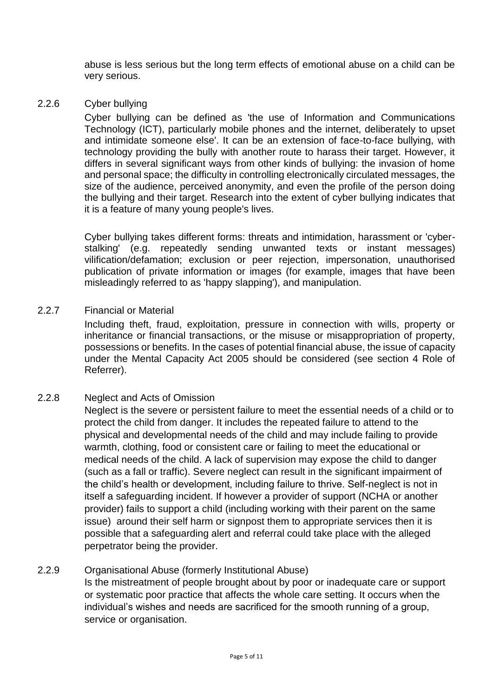abuse is less serious but the long term effects of emotional abuse on a child can be very serious.

# 2.2.6 Cyber bullying

Cyber bullying can be defined as 'the use of Information and Communications Technology (ICT), particularly mobile phones and the internet, deliberately to upset and intimidate someone else'. It can be an extension of face-to-face bullying, with technology providing the bully with another route to harass their target. However, it differs in several significant ways from other kinds of bullying: the invasion of home and personal space; the difficulty in controlling electronically circulated messages, the size of the audience, perceived anonymity, and even the profile of the person doing the bullying and their target. Research into the extent of cyber bullying indicates that it is a feature of many young people's lives.

Cyber bullying takes different forms: threats and intimidation, harassment or 'cyberstalking' (e.g. repeatedly sending unwanted texts or instant messages) vilification/defamation; exclusion or peer rejection, impersonation, unauthorised publication of private information or images (for example, images that have been misleadingly referred to as 'happy slapping'), and manipulation.

# 2.2.7 Financial or Material

Including theft, fraud, exploitation, pressure in connection with wills, property or inheritance or financial transactions, or the misuse or misappropriation of property, possessions or benefits. In the cases of potential financial abuse, the issue of capacity under the Mental Capacity Act 2005 should be considered (see section 4 Role of Referrer).

# 2.2.8 Neglect and Acts of Omission

Neglect is the severe or persistent failure to meet the essential needs of a child or to protect the child from danger. It includes the repeated failure to attend to the physical and developmental needs of the child and may include failing to provide warmth, clothing, food or consistent care or failing to meet the educational or medical needs of the child. A lack of supervision may expose the child to danger (such as a fall or traffic). Severe neglect can result in the significant impairment of the child's health or development, including failure to thrive. Self-neglect is not in itself a safeguarding incident. If however a provider of support (NCHA or another provider) fails to support a child (including working with their parent on the same issue) around their self harm or signpost them to appropriate services then it is possible that a safeguarding alert and referral could take place with the alleged perpetrator being the provider.

# 2.2.9 Organisational Abuse (formerly Institutional Abuse)

Is the mistreatment of people brought about by poor or inadequate care or support or systematic poor practice that affects the whole care setting. It occurs when the individual's wishes and needs are sacrificed for the smooth running of a group, service or organisation.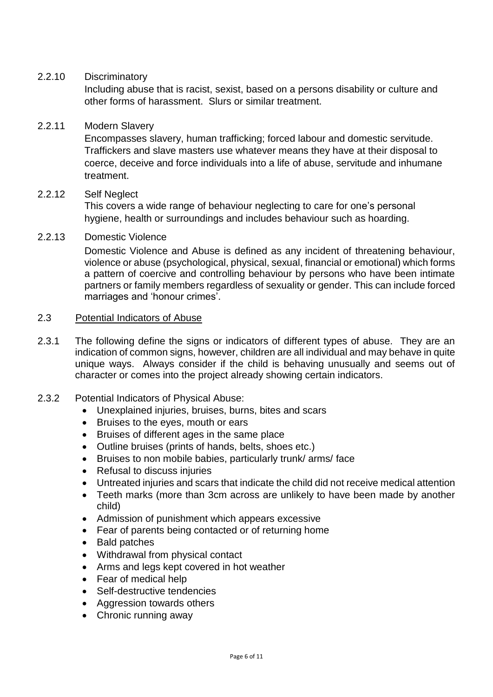## 2.2.10 Discriminatory

Including abuse that is racist, sexist, based on a persons disability or culture and other forms of harassment. Slurs or similar treatment.

## 2.2.11 Modern Slavery

Encompasses slavery, human trafficking; forced labour and domestic servitude. Traffickers and slave masters use whatever means they have at their disposal to coerce, deceive and force individuals into a life of abuse, servitude and inhumane treatment.

## 2.2.12 Self Neglect

This covers a wide range of behaviour neglecting to care for one's personal hygiene, health or surroundings and includes behaviour such as hoarding.

## 2.2.13 Domestic Violence

Domestic Violence and Abuse is defined as any incident of threatening behaviour, violence or abuse (psychological, physical, sexual, financial or emotional) which forms a pattern of coercive and controlling behaviour by persons who have been intimate partners or family members regardless of sexuality or gender. This can include forced marriages and 'honour crimes'.

#### 2.3 Potential Indicators of Abuse

- 2.3.1 The following define the signs or indicators of different types of abuse. They are an indication of common signs, however, children are all individual and may behave in quite unique ways. Always consider if the child is behaving unusually and seems out of character or comes into the project already showing certain indicators.
- 2.3.2 Potential Indicators of Physical Abuse:
	- Unexplained injuries, bruises, burns, bites and scars
	- Bruises to the eyes, mouth or ears
	- Bruises of different ages in the same place
	- Outline bruises (prints of hands, belts, shoes etc.)
	- Bruises to non mobile babies, particularly trunk/ arms/ face
	- Refusal to discuss injuries
	- Untreated injuries and scars that indicate the child did not receive medical attention
	- Teeth marks (more than 3cm across are unlikely to have been made by another child)
	- Admission of punishment which appears excessive
	- Fear of parents being contacted or of returning home
	- Bald patches
	- Withdrawal from physical contact
	- Arms and legs kept covered in hot weather
	- Fear of medical help
	- Self-destructive tendencies
	- Aggression towards others
	- Chronic running away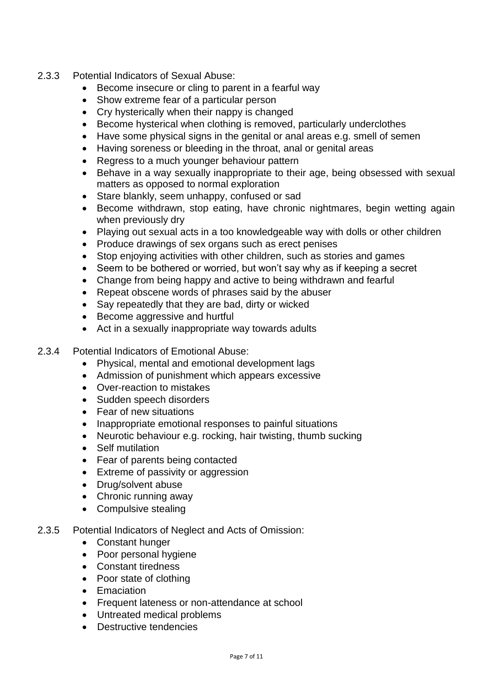- 2.3.3 Potential Indicators of Sexual Abuse:
	- Become insecure or cling to parent in a fearful way
	- Show extreme fear of a particular person
	- Cry hysterically when their nappy is changed
	- Become hysterical when clothing is removed, particularly underclothes
	- Have some physical signs in the genital or anal areas e.g. smell of semen
	- Having soreness or bleeding in the throat, anal or genital areas
	- Regress to a much younger behaviour pattern
	- Behave in a way sexually inappropriate to their age, being obsessed with sexual matters as opposed to normal exploration
	- Stare blankly, seem unhappy, confused or sad
	- Become withdrawn, stop eating, have chronic nightmares, begin wetting again when previously dry
	- Playing out sexual acts in a too knowledgeable way with dolls or other children
	- Produce drawings of sex organs such as erect penises
	- Stop enjoying activities with other children, such as stories and games
	- Seem to be bothered or worried, but won't say why as if keeping a secret
	- Change from being happy and active to being withdrawn and fearful
	- Repeat obscene words of phrases said by the abuser
	- Say repeatedly that they are bad, dirty or wicked
	- Become aggressive and hurtful
	- Act in a sexually inappropriate way towards adults
- 2.3.4 Potential Indicators of Emotional Abuse:
	- Physical, mental and emotional development lags
	- Admission of punishment which appears excessive
	- Over-reaction to mistakes
	- Sudden speech disorders
	- Fear of new situations
	- Inappropriate emotional responses to painful situations
	- Neurotic behaviour e.g. rocking, hair twisting, thumb sucking
	- Self mutilation
	- Fear of parents being contacted
	- Extreme of passivity or aggression
	- Drug/solvent abuse
	- Chronic running away
	- Compulsive stealing
- 2.3.5 Potential Indicators of Neglect and Acts of Omission:
	- Constant hunger
	- Poor personal hygiene
	- Constant tiredness
	- Poor state of clothing
	- Emaciation
	- Frequent lateness or non-attendance at school
	- Untreated medical problems
	- Destructive tendencies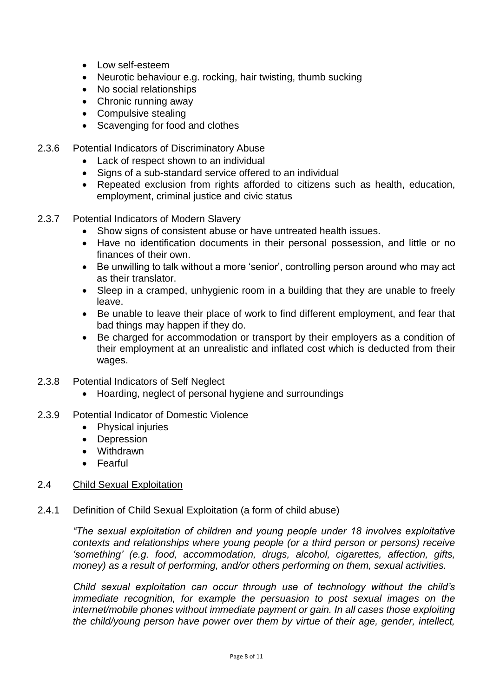- Low self-esteem
- Neurotic behaviour e.g. rocking, hair twisting, thumb sucking
- No social relationships
- Chronic running away
- Compulsive stealing
- Scavenging for food and clothes
- 2.3.6 Potential Indicators of Discriminatory Abuse
	- Lack of respect shown to an individual
	- Signs of a sub-standard service offered to an individual
	- Repeated exclusion from rights afforded to citizens such as health, education, employment, criminal justice and civic status
- 2.3.7 Potential Indicators of Modern Slavery
	- Show signs of consistent abuse or have untreated health issues.
	- Have no identification documents in their personal possession, and little or no finances of their own.
	- Be unwilling to talk without a more 'senior', controlling person around who may act as their translator.
	- Sleep in a cramped, unhygienic room in a building that they are unable to freely leave.
	- Be unable to leave their place of work to find different employment, and fear that bad things may happen if they do.
	- Be charged for accommodation or transport by their employers as a condition of their employment at an unrealistic and inflated cost which is deducted from their wages.
- 2.3.8 Potential Indicators of Self Neglect
	- Hoarding, neglect of personal hygiene and surroundings
- 2.3.9 Potential Indicator of Domestic Violence
	- Physical injuries
	- Depression
	- Withdrawn
	- Fearful
- 2.4 Child Sexual Exploitation
- 2.4.1 Definition of Child Sexual Exploitation (a form of child abuse)

*"The sexual exploitation of children and young people under 18 involves exploitative contexts and relationships where young people (or a third person or persons) receive 'something' (e.g. food, accommodation, drugs, alcohol, cigarettes, affection, gifts, money) as a result of performing, and/or others performing on them, sexual activities.*

*Child sexual exploitation can occur through use of technology without the child's immediate recognition, for example the persuasion to post sexual images on the internet/mobile phones without immediate payment or gain. In all cases those exploiting the child/young person have power over them by virtue of their age, gender, intellect,*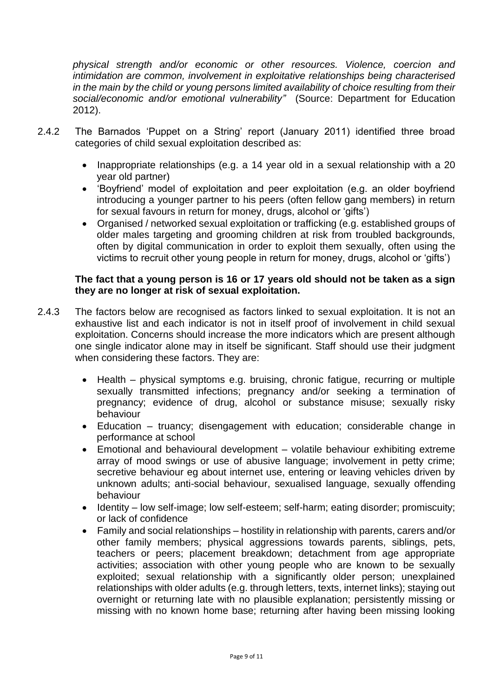*physical strength and/or economic or other resources. Violence, coercion and intimidation are common, involvement in exploitative relationships being characterised in the main by the child or young persons limited availability of choice resulting from their social/economic and/or emotional vulnerability"* (Source: Department for Education 2012).

- 2.4.2 The Barnados 'Puppet on a String' report (January 2011) identified three broad categories of child sexual exploitation described as:
	- Inappropriate relationships (e.g. a 14 year old in a sexual relationship with a 20 year old partner)
	- 'Boyfriend' model of exploitation and peer exploitation (e.g. an older boyfriend introducing a younger partner to his peers (often fellow gang members) in return for sexual favours in return for money, drugs, alcohol or 'gifts')
	- Organised / networked sexual exploitation or trafficking (e.g. established groups of older males targeting and grooming children at risk from troubled backgrounds, often by digital communication in order to exploit them sexually, often using the victims to recruit other young people in return for money, drugs, alcohol or 'gifts')

## **The fact that a young person is 16 or 17 years old should not be taken as a sign they are no longer at risk of sexual exploitation.**

- 2.4.3 The factors below are recognised as factors linked to sexual exploitation. It is not an exhaustive list and each indicator is not in itself proof of involvement in child sexual exploitation. Concerns should increase the more indicators which are present although one single indicator alone may in itself be significant. Staff should use their judgment when considering these factors. They are:
	- Health physical symptoms e.g. bruising, chronic fatigue, recurring or multiple sexually transmitted infections; pregnancy and/or seeking a termination of pregnancy; evidence of drug, alcohol or substance misuse; sexually risky behaviour
	- Education truancy; disengagement with education; considerable change in performance at school
	- Emotional and behavioural development volatile behaviour exhibiting extreme array of mood swings or use of abusive language; involvement in petty crime; secretive behaviour eg about internet use, entering or leaving vehicles driven by unknown adults; anti-social behaviour, sexualised language, sexually offending behaviour
	- Identity low self-image; low self-esteem; self-harm; eating disorder; promiscuity; or lack of confidence
	- Family and social relationships hostility in relationship with parents, carers and/or other family members; physical aggressions towards parents, siblings, pets, teachers or peers; placement breakdown; detachment from age appropriate activities; association with other young people who are known to be sexually exploited; sexual relationship with a significantly older person; unexplained relationships with older adults (e.g. through letters, texts, internet links); staying out overnight or returning late with no plausible explanation; persistently missing or missing with no known home base; returning after having been missing looking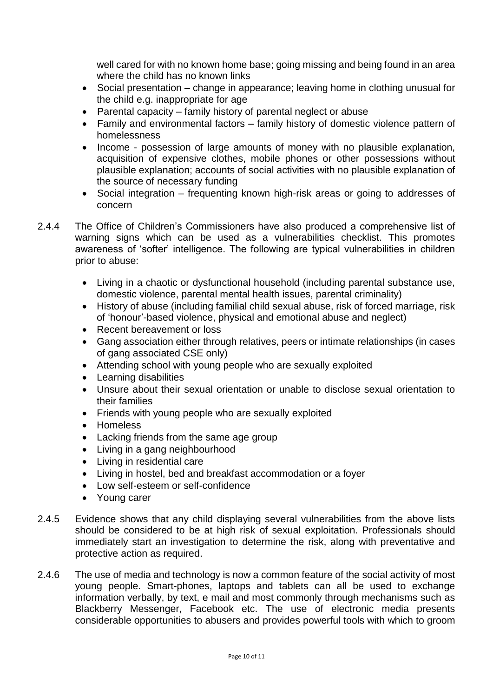well cared for with no known home base; going missing and being found in an area where the child has no known links

- Social presentation change in appearance; leaving home in clothing unusual for the child e.g. inappropriate for age
- Parental capacity family history of parental neglect or abuse
- Family and environmental factors family history of domestic violence pattern of homelessness
- Income possession of large amounts of money with no plausible explanation, acquisition of expensive clothes, mobile phones or other possessions without plausible explanation; accounts of social activities with no plausible explanation of the source of necessary funding
- Social integration frequenting known high-risk areas or going to addresses of concern
- 2.4.4 The Office of Children's Commissioners have also produced a comprehensive list of warning signs which can be used as a vulnerabilities checklist. This promotes awareness of 'softer' intelligence. The following are typical vulnerabilities in children prior to abuse:
	- Living in a chaotic or dysfunctional household (including parental substance use, domestic violence, parental mental health issues, parental criminality)
	- History of abuse (including familial child sexual abuse, risk of forced marriage, risk of 'honour'-based violence, physical and emotional abuse and neglect)
	- Recent bereavement or loss
	- Gang association either through relatives, peers or intimate relationships (in cases of gang associated CSE only)
	- Attending school with young people who are sexually exploited
	- Learning disabilities
	- Unsure about their sexual orientation or unable to disclose sexual orientation to their families
	- Friends with young people who are sexually exploited
	- Homeless
	- Lacking friends from the same age group
	- Living in a gang neighbourhood
	- Living in residential care
	- Living in hostel, bed and breakfast accommodation or a foyer
	- Low self-esteem or self-confidence
	- Young carer
- 2.4.5 Evidence shows that any child displaying several vulnerabilities from the above lists should be considered to be at high risk of sexual exploitation. Professionals should immediately start an investigation to determine the risk, along with preventative and protective action as required.
- 2.4.6 The use of media and technology is now a common feature of the social activity of most young people. Smart-phones, laptops and tablets can all be used to exchange information verbally, by text, e mail and most commonly through mechanisms such as Blackberry Messenger, Facebook etc. The use of electronic media presents considerable opportunities to abusers and provides powerful tools with which to groom